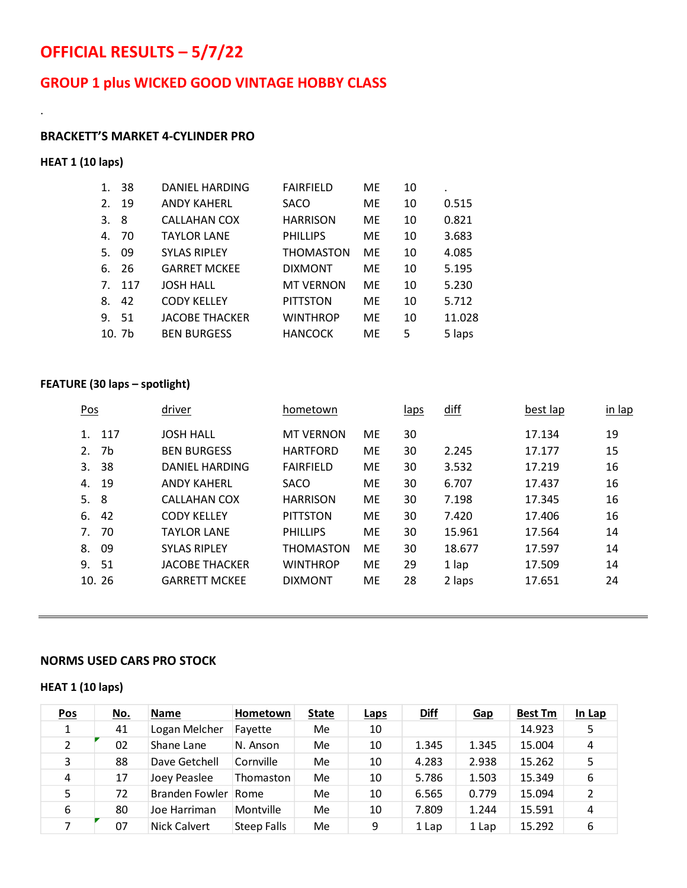# **OFFICIAL RESULTS – 5/7/22**

## **GROUP 1 plus WICKED GOOD VINTAGE HOBBY CLASS**

#### **BRACKETT'S MARKET 4-CYLINDER PRO**

#### **HEAT 1 (10 laps)**

.

| 1. | 38                | <b>DANIEL HARDING</b> | <b>FAIRFIELD</b> | ME  | 10 | ٠      |
|----|-------------------|-----------------------|------------------|-----|----|--------|
| 2. | 19                | <b>ANDY KAHERL</b>    | SACO             | ME  | 10 | 0.515  |
| 3. | 8                 | CALLAHAN COX          | <b>HARRISON</b>  | ME  | 10 | 0.821  |
| 4. | 70                | <b>TAYLOR LANE</b>    | <b>PHILLIPS</b>  | ME  | 10 | 3.683  |
| 5. | 09                | <b>SYLAS RIPLEY</b>   | <b>THOMASTON</b> | ME  | 10 | 4.085  |
| 6. | 26                | <b>GARRET MCKEE</b>   | <b>DIXMONT</b>   | ME  | 10 | 5.195  |
|    | 7. 117            | <b>JOSH HALL</b>      | <b>MT VERNON</b> | ME  | 10 | 5.230  |
| 8. | 42                | <b>CODY KELLEY</b>    | <b>PITTSTON</b>  | ME  | 10 | 5.712  |
|    | 9. 51             | <b>JACOBE THACKER</b> | <b>WINTHROP</b>  | ME. | 10 | 11.028 |
|    | 10.7 <sub>b</sub> | <b>BEN BURGESS</b>    | <b>HANCOCK</b>   | ME  | 5  | 5 laps |

#### **FEATURE (30 laps – spotlight)**

| Pos         |       | driver                | hometown         |           | <u>laps</u> | diff   | best lap | in lap |
|-------------|-------|-----------------------|------------------|-----------|-------------|--------|----------|--------|
| $1_{\cdot}$ | 117   | <b>JOSH HALL</b>      | <b>MT VERNON</b> | ME        | 30          |        | 17.134   | 19     |
| 2.          | 7b    | <b>BEN BURGESS</b>    | <b>HARTFORD</b>  | <b>ME</b> | 30          | 2.245  | 17.177   | 15     |
| 3.          | 38    | DANIEL HARDING        | <b>FAIRFIELD</b> | <b>ME</b> | 30          | 3.532  | 17.219   | 16     |
| 4.          | 19    | <b>ANDY KAHERL</b>    | <b>SACO</b>      | <b>ME</b> | 30          | 6.707  | 17.437   | 16     |
| 5.          | -8    | CALLAHAN COX          | <b>HARRISON</b>  | <b>ME</b> | 30          | 7.198  | 17.345   | 16     |
| 6.          | 42    | <b>CODY KELLEY</b>    | <b>PITTSTON</b>  | ME        | 30          | 7.420  | 17.406   | 16     |
| $7_{\cdot}$ | 70    | <b>TAYLOR LANE</b>    | <b>PHILLIPS</b>  | ME        | 30          | 15.961 | 17.564   | 14     |
| 8.          | 09    | <b>SYLAS RIPLEY</b>   | <b>THOMASTON</b> | <b>ME</b> | 30          | 18.677 | 17.597   | 14     |
|             | 9. 51 | <b>JACOBE THACKER</b> | <b>WINTHROP</b>  | <b>ME</b> | 29          | 1 lap  | 17.509   | 14     |
|             | 10.26 | <b>GARRETT MCKEE</b>  | <b>DIXMONT</b>   | <b>ME</b> | 28          | 2 laps | 17.651   | 24     |

#### **NORMS USED CARS PRO STOCK**

#### **HEAT 1 (10 laps)**

| <b>Pos</b>    | No. | <b>Name</b>    | Hometown           | <b>State</b> | Laps | Diff  | <b>Gap</b> | <b>Best Tm</b> | In Lap |
|---------------|-----|----------------|--------------------|--------------|------|-------|------------|----------------|--------|
| 1             | 41  | Logan Melcher  | Fayette            | Me           | 10   |       |            | 14.923         | 5      |
| $\mathcal{P}$ | 02  | Shane Lane     | N. Anson           | Me           | 10   | 1.345 | 1.345      | 15.004         | 4      |
| 3             | 88  | Dave Getchell  | Cornville          | Me           | 10   | 4.283 | 2.938      | 15.262         | 5      |
| 4             | 17  | Joey Peaslee   | Thomaston          | Me           | 10   | 5.786 | 1.503      | 15.349         | 6      |
| 5.            | 72  | Branden Fowler | Rome               | Me           | 10   | 6.565 | 0.779      | 15.094         | 2      |
| 6             | 80  | Joe Harriman   | Montville          | Me           | 10   | 7.809 | 1.244      | 15.591         | 4      |
| 7             | 07  | Nick Calvert   | <b>Steep Falls</b> | Me           | 9    | 1 Lap | 1 Lap      | 15.292         | 6      |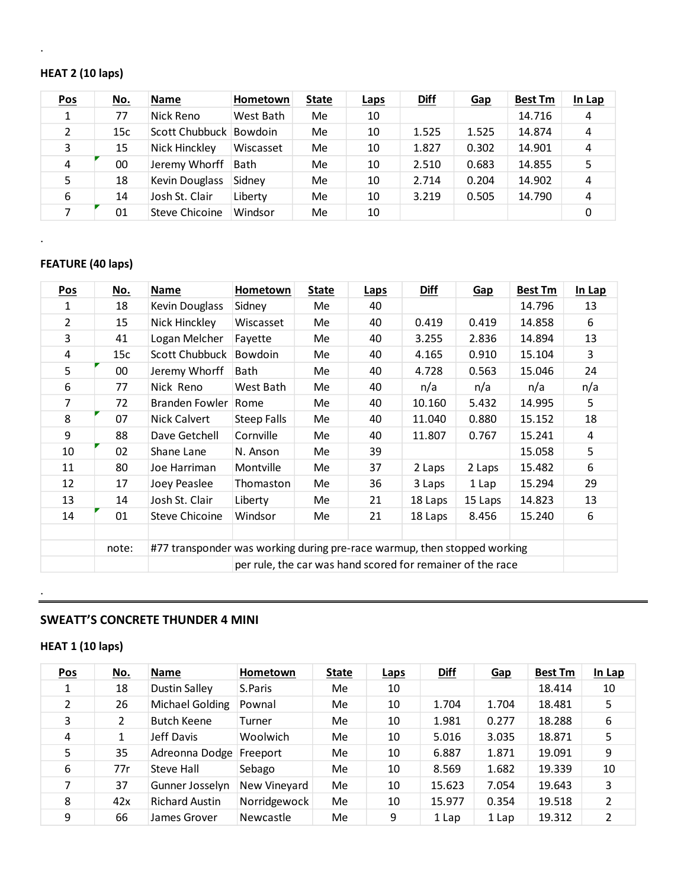#### **HEAT 2 (10 laps)**

.

.

| <b>Pos</b>    | <u>No.</u> | <b>Name</b>            | Hometown  | <b>State</b> | <b>Laps</b> | Diff  | <b>Gap</b> | <b>Best Tm</b> | In Lap |
|---------------|------------|------------------------|-----------|--------------|-------------|-------|------------|----------------|--------|
| 1             | 77         | Nick Reno              | West Bath | Me           | 10          |       |            | 14.716         | 4      |
| $\mathcal{P}$ | 15c        | Scott Chubbuck Bowdoin |           | Me           | 10          | 1.525 | 1.525      | 14.874         | 4      |
| 3             | 15         | Nick Hinckley          | Wiscasset | Me           | 10          | 1.827 | 0.302      | 14.901         | 4      |
| 4             | 00         | Jeremy Whorff          | Bath      | Me           | 10          | 2.510 | 0.683      | 14.855         |        |
| 5.            | 18         | Kevin Douglass         | Sidney    | Me           | 10          | 2.714 | 0.204      | 14.902         | 4      |
| 6             | 14         | Josh St. Clair         | Liberty   | Me           | 10          | 3.219 | 0.505      | 14.790         | 4      |
| 7             | 01         | Steve Chicoine         | Windsor   | Me           | 10          |       |            |                | 0      |

### **FEATURE (40 laps)**

| <u>Pos</u>     | <u>No.</u> | Name                                                                     | Hometown                                                   | <b>State</b> | <b>Laps</b> | <b>Diff</b> | <b>Gap</b> | <b>Best Tm</b> | In Lap |  |
|----------------|------------|--------------------------------------------------------------------------|------------------------------------------------------------|--------------|-------------|-------------|------------|----------------|--------|--|
| 1              | 18         | Kevin Douglass                                                           | Sidney                                                     | Me           | 40          |             |            | 14.796         | 13     |  |
| $\overline{2}$ | 15         | Nick Hinckley                                                            | Wiscasset                                                  | Me           | 40          | 0.419       | 0.419      | 14.858         | 6      |  |
| 3              | 41         | Logan Melcher                                                            | Fayette                                                    | Me           | 40          | 3.255       | 2.836      | 14.894         | 13     |  |
| 4              | 15c        | <b>Scott Chubbuck</b>                                                    | Bowdoin                                                    | Me           | 40          | 4.165       | 0.910      | 15.104         | 3      |  |
| 5              | 00         | Jeremy Whorff                                                            | Bath                                                       | Me           | 40          | 4.728       | 0.563      | 15.046         | 24     |  |
| 6              | 77         | Nick Reno                                                                | West Bath                                                  | Me           | 40          | n/a         | n/a        | n/a            | n/a    |  |
| 7              | 72         | Branden Fowler                                                           | Rome                                                       | Me           | 40          | 10.160      | 5.432      | 14.995         | 5      |  |
| 8              | 07         | Nick Calvert                                                             | <b>Steep Falls</b>                                         | Me           | 40          | 11.040      | 0.880      | 15.152         | 18     |  |
| 9              | 88         | Dave Getchell                                                            | Cornville                                                  | Me           | 40          | 11.807      | 0.767      | 15.241         | 4      |  |
| 10             | 02         | Shane Lane                                                               | N. Anson                                                   | Me           | 39          |             |            | 15.058         | 5      |  |
| 11             | 80         | Joe Harriman                                                             | Montville                                                  | Me           | 37          | 2 Laps      | 2 Laps     | 15.482         | 6      |  |
| 12             | 17         | Joey Peaslee                                                             | Thomaston                                                  | Me           | 36          | 3 Laps      | 1 Lap      | 15.294         | 29     |  |
| 13             | 14         | Josh St. Clair                                                           | Liberty                                                    | Me           | 21          | 18 Laps     | 15 Laps    | 14.823         | 13     |  |
| 14             | 01         | <b>Steve Chicoine</b>                                                    | Windsor                                                    | Me           | 21          | 18 Laps     | 8.456      | 15.240         | 6      |  |
|                |            |                                                                          |                                                            |              |             |             |            |                |        |  |
|                | note:      | #77 transponder was working during pre-race warmup, then stopped working |                                                            |              |             |             |            |                |        |  |
|                |            |                                                                          | per rule, the car was hand scored for remainer of the race |              |             |             |            |                |        |  |

#### **SWEATT'S CONCRETE THUNDER 4 MINI**

.

### **HEAT 1 (10 laps)**

| Pos           | <u>No.</u> | <b>Name</b>           | Hometown         | <b>State</b> | <u>Laps</u> | <b>Diff</b> | Gap   | <b>Best Tm</b> | In Lap         |
|---------------|------------|-----------------------|------------------|--------------|-------------|-------------|-------|----------------|----------------|
|               | 18         | Dustin Salley         | S.Paris          | Me           | 10          |             |       | 18.414         | 10             |
| $\mathcal{P}$ | 26         | Michael Golding       | Pownal           | Me           | 10          | 1.704       | 1.704 | 18.481         | 5              |
| 3             | 2          | <b>Butch Keene</b>    | Turner           | Me           | 10          | 1.981       | 0.277 | 18.288         | 6              |
| 4             | 1          | Jeff Davis            | Woolwich         | Me           | 10          | 5.016       | 3.035 | 18.871         | 5              |
| 5             | 35         | Adreonna Dodge        | Freeport         | Me           | 10          | 6.887       | 1.871 | 19.091         | 9              |
| 6             | 77r        | Steve Hall            | Sebago           | Me           | 10          | 8.569       | 1.682 | 19.339         | 10             |
| 7             | 37         | Gunner Josselyn       | New Vineyard     | Me           | 10          | 15.623      | 7.054 | 19.643         | 3              |
| 8             | 42x        | <b>Richard Austin</b> | Norridgewock     | Me           | 10          | 15.977      | 0.354 | 19.518         | $\overline{2}$ |
| 9             | 66         | James Grover          | <b>Newcastle</b> | Me           | 9           | 1 Lap       | 1 Lap | 19.312         | 2              |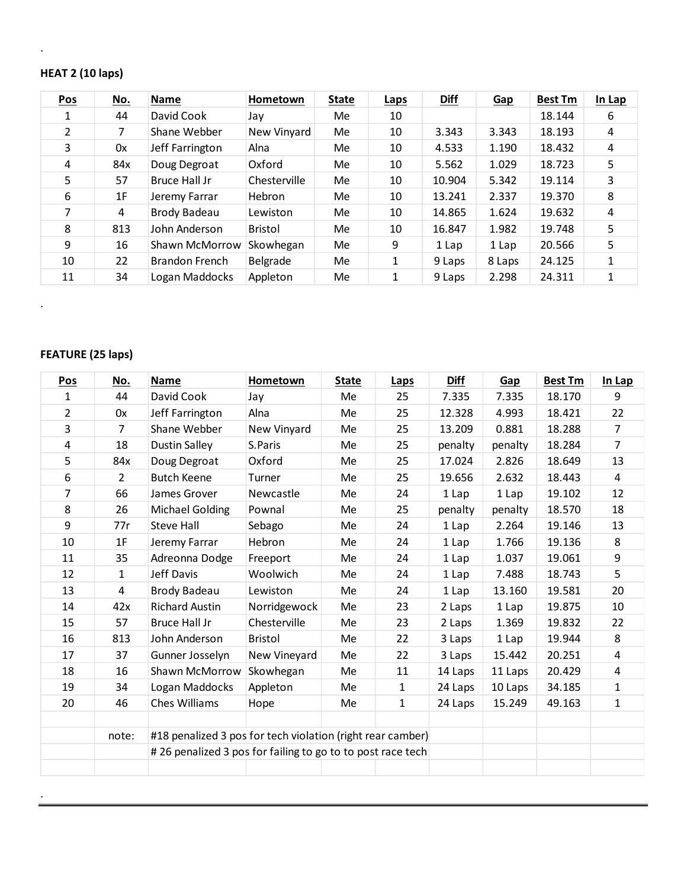#### **HEAT 2 (10 laps)**

.

| <b>Pos</b>    | <u>No.</u> | <b>Name</b>     | Hometown       | <b>State</b> | <b>Laps</b> | <b>Diff</b> | <b>Gap</b> | <b>Best Tm</b> | In Lap |
|---------------|------------|-----------------|----------------|--------------|-------------|-------------|------------|----------------|--------|
|               | 44         | David Cook      | Jay            | Me           | 10          |             |            | 18.144         | 6      |
| $\mathcal{P}$ | 7          | Shane Webber    | New Vinyard    | Me           | 10          | 3.343       | 3.343      | 18.193         | 4      |
| 3             | 0x         | Jeff Farrington | Alna           | Me           | 10          | 4.533       | 1.190      | 18.432         | 4      |
| 4             | 84x        | Doug Degroat    | Oxford         | Me           | 10          | 5.562       | 1.029      | 18.723         | 5      |
| 5             | 57         | Bruce Hall Jr   | Chesterville   | Me           | 10          | 10.904      | 5.342      | 19.114         | 3      |
| 6             | 1F         | Jeremy Farrar   | <b>Hebron</b>  | Me           | 10          | 13.241      | 2.337      | 19.370         | 8      |
| 7             | 4          | Brody Badeau    | Lewiston       | Me           | 10          | 14.865      | 1.624      | 19.632         | 4      |
| 8             | 813        | John Anderson   | <b>Bristol</b> | Me           | 10          | 16.847      | 1.982      | 19.748         | 5      |
| 9             | 16         | Shawn McMorrow  | Skowhegan      | Me           | 9           | 1 Lap       | 1 Lap      | 20.566         | 5      |
| 10            | 22         | Brandon French  | Belgrade       | Me           | 1           | 9 Laps      | 8 Laps     | 24.125         | 1      |
| 11            | 34         | Logan Maddocks  | Appleton       | Me           | 1           | 9 Laps      | 2.298      | 24.311         | 1      |

### **FEATURE (25 laps)**

.

.

| Pos            | <u>No.</u>     | <b>Name</b>                                                | Hometown     | <b>State</b> | Laps         | <b>Diff</b> | Gap     | <b>Best Tm</b> | In Lap         |
|----------------|----------------|------------------------------------------------------------|--------------|--------------|--------------|-------------|---------|----------------|----------------|
| 1              | 44             | David Cook                                                 | Jay          | Me           | 25           | 7.335       | 7.335   | 18.170         | 9              |
| $\overline{2}$ | 0x             | Jeff Farrington                                            | Alna         | Me           | 25           | 12.328      | 4.993   | 18.421         | 22             |
| 3              | $\overline{7}$ | Shane Webber                                               | New Vinyard  | Me           | 25           | 13.209      | 0.881   | 18.288         | $\overline{7}$ |
| 4              | 18             | <b>Dustin Salley</b>                                       | S.Paris      | Me           | 25           | penalty     | penalty | 18.284         | $\overline{7}$ |
| 5              | 84x            | Doug Degroat                                               | Oxford       | Me           | 25           | 17.024      | 2.826   | 18.649         | 13             |
| 6              | $\overline{2}$ | <b>Butch Keene</b>                                         | Turner       | Me           | 25           | 19.656      | 2.632   | 18.443         | $\overline{4}$ |
| 7              | 66             | James Grover                                               | Newcastle    | Me           | 24           | 1 Lap       | 1 Lap   | 19.102         | 12             |
| 8              | 26             | <b>Michael Golding</b>                                     | Pownal       | Me           | 25           | penalty     | penalty | 18.570         | 18             |
| 9              | 77r            | <b>Steve Hall</b>                                          | Sebago       | Me           | 24           | 1 Lap       | 2.264   | 19.146         | 13             |
| 10             | 1F             | Jeremy Farrar                                              | Hebron       | Me           | 24           | 1 Lap       | 1.766   | 19.136         | 8              |
| 11             | 35             | Adreonna Dodge                                             | Freeport     | Me           | 24           | 1 Lap       | 1.037   | 19.061         | 9              |
| 12             | 1              | Jeff Davis                                                 | Woolwich     | Me           | 24           | 1 Lap       | 7.488   | 18.743         | 5              |
| 13             | 4              | <b>Brody Badeau</b>                                        | Lewiston     | Me           | 24           | 1 Lap       | 13.160  | 19.581         | 20             |
| 14             | 42x            | <b>Richard Austin</b>                                      | Norridgewock | Me           | 23           | 2 Laps      | 1 Lap   | 19.875         | 10             |
| 15             | 57             | <b>Bruce Hall Jr</b>                                       | Chesterville | Me           | 23           | 2 Laps      | 1.369   | 19.832         | 22             |
| 16             | 813            | John Anderson                                              | Bristol      | Me           | 22           | 3 Laps      | 1 Lap   | 19.944         | 8              |
| 17             | 37             | Gunner Josselyn                                            | New Vineyard | Me           | 22           | 3 Laps      | 15.442  | 20.251         | $\overline{4}$ |
| 18             | 16             | Shawn McMorrow                                             | Skowhegan    | Me           | 11           | 14 Laps     | 11 Laps | 20.429         | $\overline{4}$ |
| 19             | 34             | Logan Maddocks                                             | Appleton     | Me           | $\mathbf{1}$ | 24 Laps     | 10 Laps | 34.185         | $\mathbf 1$    |
| 20             | 46             | <b>Ches Williams</b>                                       | Hope         | Me           | $\mathbf{1}$ | 24 Laps     | 15.249  | 49.163         | $\mathbf{1}$   |
|                |                |                                                            |              |              |              |             |         |                |                |
|                | note:          | #18 penalized 3 pos for tech violation (right rear camber) |              |              |              |             |         |                |                |
|                |                | #26 penalized 3 pos for failing to go to to post race tech |              |              |              |             |         |                |                |
|                |                |                                                            |              |              |              |             |         |                |                |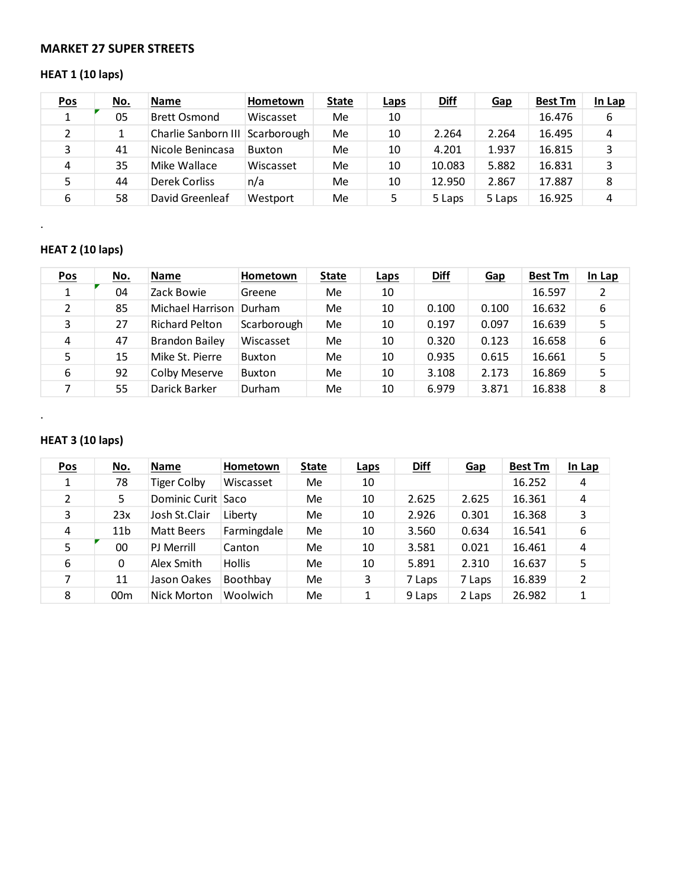#### **MARKET 27 SUPER STREETS**

## **HEAT 1 (10 laps)**

| <b>Pos</b> | <u>No.</u> | <b>Name</b>                     | Hometown  | <b>State</b> | <b>Laps</b> | <b>Diff</b> | Gap    | <b>Best Tm</b> | In Lap |
|------------|------------|---------------------------------|-----------|--------------|-------------|-------------|--------|----------------|--------|
| 1          | 05         | <b>Brett Osmond</b>             | Wiscasset | Me           | 10          |             |        | 16.476         | 6      |
|            |            | Charlie Sanborn III Scarborough |           | Me           | 10          | 2.264       | 2.264  | 16.495         | 4      |
| 3          | 41         | Nicole Benincasa                | Buxton    | Me           | 10          | 4.201       | 1.937  | 16.815         | 3      |
| 4          | 35         | Mike Wallace                    | Wiscasset | Me           | 10          | 10.083      | 5.882  | 16.831         | 3      |
|            | 44         | Derek Corliss                   | n/a       | Me           | 10          | 12.950      | 2.867  | 17.887         | 8      |
| 6          | 58         | David Greenleaf                 | Westport  | Me           | 5           | 5 Laps      | 5 Laps | 16.925         | 4      |

## **HEAT 2 (10 laps)**

.

.

| <b>Pos</b>    | <u>No.</u> | <b>Name</b>           | Hometown    | <b>State</b> | <b>Laps</b> | <b>Diff</b> | Gap   | <b>Best Tm</b> | In Lap |
|---------------|------------|-----------------------|-------------|--------------|-------------|-------------|-------|----------------|--------|
| 1             | 04         | Zack Bowie            | Greene      | Me           | 10          |             |       | 16.597         | 2      |
| $\mathcal{P}$ | 85         | Michael Harrison      | Durham      | Me           | 10          | 0.100       | 0.100 | 16.632         | 6      |
| 3             | 27         | <b>Richard Pelton</b> | Scarborough | Me           | 10          | 0.197       | 0.097 | 16.639         | 5      |
| 4             | 47         | Brandon Bailey        | Wiscasset   | Me           | 10          | 0.320       | 0.123 | 16.658         | 6      |
|               | 15         | Mike St. Pierre       | Buxton      | Me           | 10          | 0.935       | 0.615 | 16.661         | 5      |
| 6             | 92         | Colby Meserve         | Buxton      | Me           | 10          | 3.108       | 2.173 | 16.869         | 5      |
|               | 55         | Darick Barker         | Durham      | Me           | 10          | 6.979       | 3.871 | 16.838         | 8      |

### **HEAT 3 (10 laps)**

| Pos | <u>No.</u>      | <b>Name</b>        | <b>Hometown</b> | <b>State</b> | <b>Laps</b> | <b>Diff</b> | <b>Gap</b> | <b>Best Tm</b> | In Lap |
|-----|-----------------|--------------------|-----------------|--------------|-------------|-------------|------------|----------------|--------|
|     | 78              | <b>Tiger Colby</b> | Wiscasset       | Me           | 10          |             |            | 16.252         | 4      |
| 2   | 5.              | Dominic Curit Saco |                 | Me           | 10          | 2.625       | 2.625      | 16.361         | 4      |
| 3   | 23x             | Josh St.Clair      | Liberty         | Me           | 10          | 2.926       | 0.301      | 16.368         | 3      |
| 4   | 11 <sub>b</sub> | Matt Beers         | Farmingdale     | Me           | 10          | 3.560       | 0.634      | 16.541         | 6      |
| 5   | 00              | PJ Merrill         | Canton          | Me           | 10          | 3.581       | 0.021      | 16.461         | 4      |
| 6   | 0               | Alex Smith         | <b>Hollis</b>   | Me           | 10          | 5.891       | 2.310      | 16.637         | 5      |
| 7   | 11              | Jason Oakes        | Boothbay        | Me           | 3           | 7 Laps      | 7 Laps     | 16.839         | 2      |
| 8   | 00 <sub>m</sub> | Nick Morton        | Woolwich        | Me           |             | 9 Laps      | 2 Laps     | 26.982         | 1      |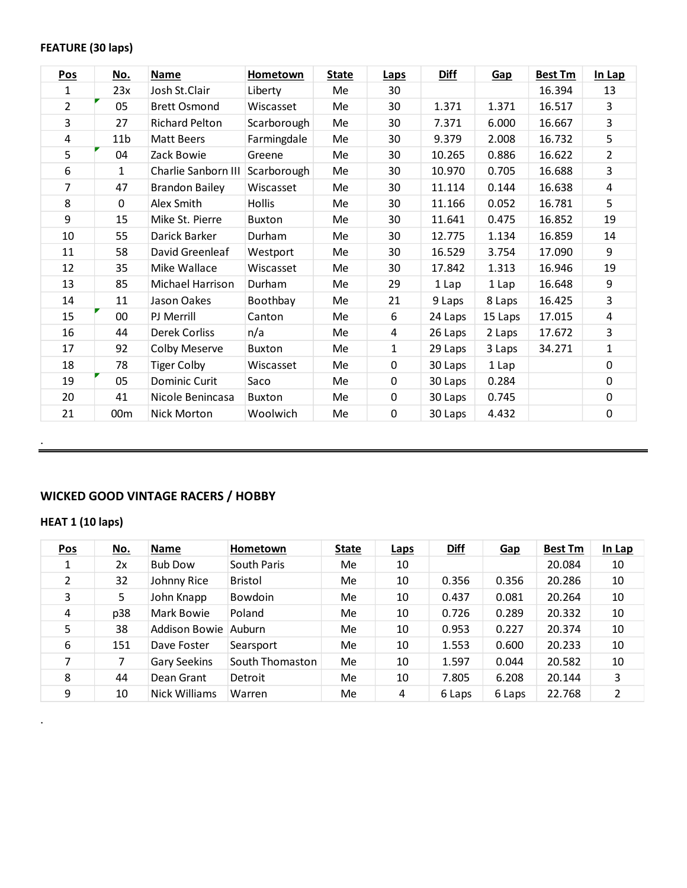#### **FEATURE (30 laps)**

| Pos            | <u>No.</u>      | Name                  | <b>Hometown</b> | <b>State</b> | Laps        | <b>Diff</b> | Gap     | <b>Best Tm</b> | In Lap         |
|----------------|-----------------|-----------------------|-----------------|--------------|-------------|-------------|---------|----------------|----------------|
| 1              | 23x             | Josh St.Clair         | Liberty         | Me           | 30          |             |         | 16.394         | 13             |
| $\overline{2}$ | 05              | <b>Brett Osmond</b>   | Wiscasset       | Me           | 30          | 1.371       | 1.371   | 16.517         | 3              |
| 3              | 27              | <b>Richard Pelton</b> | Scarborough     | Me           | 30          | 7.371       | 6.000   | 16.667         | 3              |
| 4              | 11 <sub>b</sub> | Matt Beers            | Farmingdale     | Me           | 30          | 9.379       | 2.008   | 16.732         | 5              |
| 5              | 04              | Zack Bowie            | Greene          | Me           | 30          | 10.265      | 0.886   | 16.622         | $\overline{2}$ |
| 6              | $\mathbf{1}$    | Charlie Sanborn III   | Scarborough     | Me           | 30          | 10.970      | 0.705   | 16.688         | 3              |
| 7              | 47              | <b>Brandon Bailey</b> | Wiscasset       | Me           | 30          | 11.114      | 0.144   | 16.638         | 4              |
| 8              | $\mathbf 0$     | Alex Smith            | <b>Hollis</b>   | Me           | 30          | 11.166      | 0.052   | 16.781         | 5              |
| 9              | 15              | Mike St. Pierre       | Buxton          | Me           | 30          | 11.641      | 0.475   | 16.852         | 19             |
| 10             | 55              | Darick Barker         | Durham          | Me           | 30          | 12.775      | 1.134   | 16.859         | 14             |
| 11             | 58              | David Greenleaf       | Westport        | Me           | 30          | 16.529      | 3.754   | 17.090         | 9              |
| 12             | 35              | Mike Wallace          | Wiscasset       | Me           | 30          | 17.842      | 1.313   | 16.946         | 19             |
| 13             | 85              | Michael Harrison      | Durham          | Me           | 29          | 1 Lap       | 1 Lap   | 16.648         | 9              |
| 14             | 11              | Jason Oakes           | Boothbay        | Me           | 21          | 9 Laps      | 8 Laps  | 16.425         | $\overline{3}$ |
| 15             | 00              | PJ Merrill            | Canton          | Me           | 6           | 24 Laps     | 15 Laps | 17.015         | 4              |
| 16             | 44              | Derek Corliss         | n/a             | Me           | 4           | 26 Laps     | 2 Laps  | 17.672         | $\overline{3}$ |
| 17             | 92              | Colby Meserve         | Buxton          | Me           | 1           | 29 Laps     | 3 Laps  | 34.271         | $\mathbf{1}$   |
| 18             | 78              | <b>Tiger Colby</b>    | Wiscasset       | Me           | 0           | 30 Laps     | 1 Lap   |                | 0              |
| 19             | 05              | Dominic Curit         | Saco            | Me           | $\mathbf 0$ | 30 Laps     | 0.284   |                | 0              |
| 20             | 41              | Nicole Benincasa      | Buxton          | Me           | 0           | 30 Laps     | 0.745   |                | 0              |
| 21             | 00 <sub>m</sub> | Nick Morton           | Woolwich        | Me           | $\mathbf 0$ | 30 Laps     | 4.432   |                | 0              |

## **WICKED GOOD VINTAGE RACERS / HOBBY**

### **HEAT 1 (10 laps)**

.

.

| <u>Pos</u> | <u>No.</u> | Name           | Hometown        | <b>State</b> | <b>Laps</b> | <b>Diff</b> | Gap    | <b>Best Tm</b> | In Lap |
|------------|------------|----------------|-----------------|--------------|-------------|-------------|--------|----------------|--------|
|            | 2x         | <b>Bub Dow</b> | South Paris     | Me           | 10          |             |        | 20.084         | 10     |
| 2          | 32         | Johnny Rice    | <b>Bristol</b>  | Me           | 10          | 0.356       | 0.356  | 20.286         | 10     |
| 3          | 5.         | John Knapp     | <b>Bowdoin</b>  | Me           | 10          | 0.437       | 0.081  | 20.264         | 10     |
| 4          | p38        | Mark Bowie     | Poland          | Me           | 10          | 0.726       | 0.289  | 20.332         | 10     |
| 5          | 38         | Addison Bowie  | Auburn          | Me           | 10          | 0.953       | 0.227  | 20.374         | 10     |
| 6          | 151        | Dave Foster    | Searsport       | Me           | 10          | 1.553       | 0.600  | 20.233         | 10     |
| 7          | 7          | Gary Seekins   | South Thomaston | Me           | 10          | 1.597       | 0.044  | 20.582         | 10     |
| 8          | 44         | Dean Grant     | Detroit         | Me           | 10          | 7.805       | 6.208  | 20.144         | 3      |
| 9          | 10         | Nick Williams  | Warren          | Me           | 4           | 6 Laps      | 6 Laps | 22.768         | 2      |